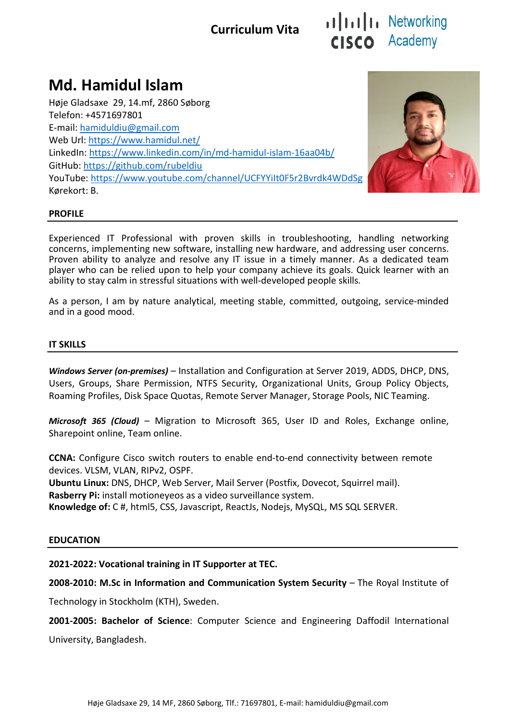## Curriculum Vita

# illilli Networking CISCO Academy

## Md. Hamidul Islam

Høje Gladsaxe 29, 14.mf, 2860 Søborg Telefon: +4571697801 E-mail: hamiduldiu@gmail.com Web Url: https://www.hamidul.net/ LinkedIn: https://www.linkedin.com/in/md-hamidul-islam-16aa04b/ GitHub: https://github.com/rubeldiu YouTube: https://www.youtube.com/channel/UCFYYiIt0F5r2Bvrdk4WDdSg Kørekort: B.



#### PROFILE

Experienced IT Professional with proven skills in troubleshooting, handling networking concerns, implementing new software, installing new hardware, and addressing user concerns. Proven ability to analyze and resolve any IT issue in a timely manner. As a dedicated team player who can be relied upon to help your company achieve its goals. Quick learner with an ability to stay calm in stressful situations with well-developed people skills.

As a person, I am by nature analytical, meeting stable, committed, outgoing, service-minded and in a good mood.

#### IT SKILLS

Windows Server (on-premises) – Installation and Configuration at Server 2019, ADDS, DHCP, DNS, Users, Groups, Share Permission, NTFS Security, Organizational Units, Group Policy Objects, Roaming Profiles, Disk Space Quotas, Remote Server Manager, Storage Pools, NIC Teaming.

Microsoft 365 (Cloud) - Migration to Microsoft 365, User ID and Roles, Exchange online, Sharepoint online, Team online.

CCNA: Configure Cisco switch routers to enable end-to-end connectivity between remote devices. VLSM, VLAN, RIPv2, OSPF.

Ubuntu Linux: DNS, DHCP, Web Server, Mail Server (Postfix, Dovecot, Squirrel mail). Rasberry Pi: install motioneyeos as a video surveillance system.

Knowledge of: C #, html5, CSS, Javascript, ReactJs, Nodejs, MySQL, MS SQL SERVER.

#### EDUCATION

#### 2021-2022: Vocational training in IT Supporter at TEC.

2008-2010: M.Sc in Information and Communication System Security – The Royal Institute of

Technology in Stockholm (KTH), Sweden.

2001-2005: Bachelor of Science: Computer Science and Engineering Daffodil International University, Bangladesh.